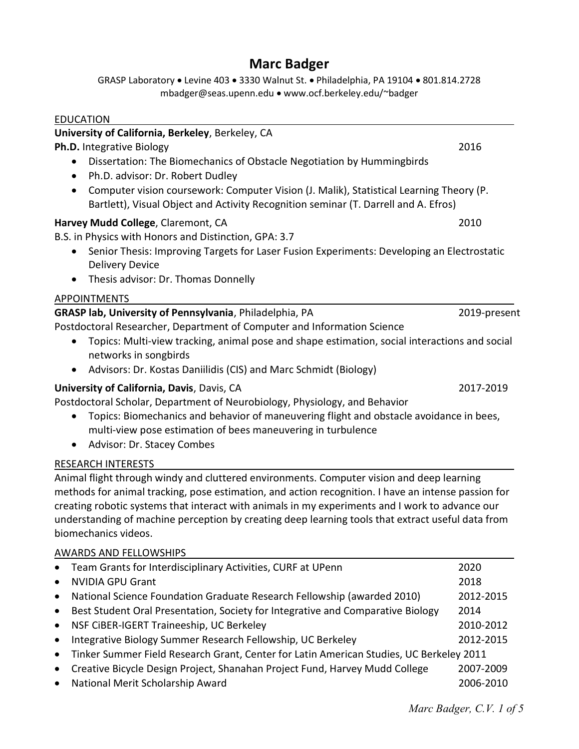# Marc Badger

GRASP Laboratory . Levine 403 . 3330 Walnut St. . Philadelphia, PA 19104 . 801.814.2728 mbadger@seas.upenn.edu www.ocf.berkeley.edu/~badger

| <b>EDUCATION</b>                                                                                                                                                                                   |              |
|----------------------------------------------------------------------------------------------------------------------------------------------------------------------------------------------------|--------------|
| University of California, Berkeley, Berkeley, CA                                                                                                                                                   |              |
| Ph.D. Integrative Biology                                                                                                                                                                          | 2016         |
| Dissertation: The Biomechanics of Obstacle Negotiation by Hummingbirds<br>Ph.D. advisor: Dr. Robert Dudley<br>$\bullet$                                                                            |              |
| Computer vision coursework: Computer Vision (J. Malik), Statistical Learning Theory (P.<br>٠<br>Bartlett), Visual Object and Activity Recognition seminar (T. Darrell and A. Efros)                |              |
| Harvey Mudd College, Claremont, CA<br>B.S. in Physics with Honors and Distinction, GPA: 3.7                                                                                                        | 2010         |
| Senior Thesis: Improving Targets for Laser Fusion Experiments: Developing an Electrostatic<br><b>Delivery Device</b>                                                                               |              |
| Thesis advisor: Dr. Thomas Donnelly<br>$\bullet$                                                                                                                                                   |              |
| <b>APPOINTMENTS</b>                                                                                                                                                                                |              |
| GRASP lab, University of Pennsylvania, Philadelphia, PA                                                                                                                                            | 2019-present |
| Postdoctoral Researcher, Department of Computer and Information Science                                                                                                                            |              |
| Topics: Multi-view tracking, animal pose and shape estimation, social interactions and social<br>networks in songbirds                                                                             |              |
| Advisors: Dr. Kostas Daniilidis (CIS) and Marc Schmidt (Biology)<br>$\bullet$                                                                                                                      |              |
| University of California, Davis, Davis, CA<br>Postdoctoral Scholar, Department of Neurobiology, Physiology, and Behavior                                                                           | 2017-2019    |
| Topics: Biomechanics and behavior of maneuvering flight and obstacle avoidance in bees,<br>multi-view pose estimation of bees maneuvering in turbulence<br>Advisor: Dr. Stacey Combes<br>$\bullet$ |              |
| <b>RESEARCH INTERESTS</b>                                                                                                                                                                          |              |
| Animal flight through windy and cluttered environments. Computer vision and deep learning<br>methods for animal tracking, nose estimation, and action recognition. I have an intense nassion for   |              |

methods for animal tracking, pose estimation, and action recognition. I have an intense passion for creating robotic systems that interact with animals in my experiments and I work to advance our understanding of machine perception by creating deep learning tools that extract useful data from biomechanics videos.

# AWARDS AND FELLOWSHIPS

| $\bullet$ | Team Grants for Interdisciplinary Activities, CURF at UPenn                             | 2020      |
|-----------|-----------------------------------------------------------------------------------------|-----------|
| $\bullet$ | <b>NVIDIA GPU Grant</b>                                                                 | 2018      |
| $\bullet$ | National Science Foundation Graduate Research Fellowship (awarded 2010)                 | 2012-2015 |
| $\bullet$ | Best Student Oral Presentation, Society for Integrative and Comparative Biology         | 2014      |
| $\bullet$ | NSF CiBER-IGERT Traineeship, UC Berkeley                                                | 2010-2012 |
| $\bullet$ | Integrative Biology Summer Research Fellowship, UC Berkeley                             | 2012-2015 |
| $\bullet$ | Tinker Summer Field Research Grant, Center for Latin American Studies, UC Berkeley 2011 |           |
| $\bullet$ | Creative Bicycle Design Project, Shanahan Project Fund, Harvey Mudd College             | 2007-2009 |
| $\bullet$ | National Merit Scholarship Award                                                        | 2006-2010 |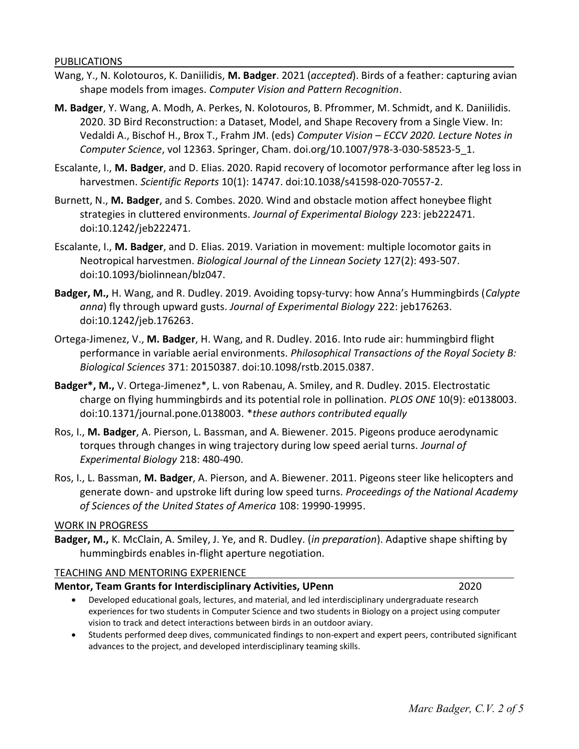PUBLICATIONS

- Wang, Y., N. Kolotouros, K. Daniilidis, M. Badger. 2021 (accepted). Birds of a feather: capturing avian shape models from images. Computer Vision and Pattern Recognition.
- M. Badger, Y. Wang, A. Modh, A. Perkes, N. Kolotouros, B. Pfrommer, M. Schmidt, and K. Daniilidis. 2020. 3D Bird Reconstruction: a Dataset, Model, and Shape Recovery from a Single View. In: Vedaldi A., Bischof H., Brox T., Frahm JM. (eds) Computer Vision – ECCV 2020. Lecture Notes in Computer Science, vol 12363. Springer, Cham. doi.org/10.1007/978-3-030-58523-5\_1.
- Escalante, I., M. Badger, and D. Elias. 2020. Rapid recovery of locomotor performance after leg loss in harvestmen. Scientific Reports 10(1): 14747. doi:10.1038/s41598-020-70557-2.
- Burnett, N., M. Badger, and S. Combes. 2020. Wind and obstacle motion affect honeybee flight strategies in cluttered environments. Journal of Experimental Biology 223: jeb222471. doi:10.1242/jeb222471.
- Escalante, I., M. Badger, and D. Elias. 2019. Variation in movement: multiple locomotor gaits in Neotropical harvestmen. Biological Journal of the Linnean Society 127(2): 493-507. doi:10.1093/biolinnean/blz047.
- Badger, M., H. Wang, and R. Dudley. 2019. Avoiding topsy-turvy: how Anna's Hummingbirds (Calypte anna) fly through upward gusts. Journal of Experimental Biology 222: jeb176263. doi:10.1242/jeb.176263.
- Ortega-Jimenez, V., M. Badger, H. Wang, and R. Dudley. 2016. Into rude air: hummingbird flight performance in variable aerial environments. Philosophical Transactions of the Royal Society B: Biological Sciences 371: 20150387. doi:10.1098/rstb.2015.0387.
- Badger\*, M., V. Ortega-Jimenez\*, L. von Rabenau, A. Smiley, and R. Dudley. 2015. Electrostatic charge on flying hummingbirds and its potential role in pollination. PLOS ONE 10(9): e0138003. doi:10.1371/journal.pone.0138003. \*these authors contributed equally
- Ros, I., M. Badger, A. Pierson, L. Bassman, and A. Biewener. 2015. Pigeons produce aerodynamic torques through changes in wing trajectory during low speed aerial turns. Journal of Experimental Biology 218: 480-490.
- Ros, I., L. Bassman, M. Badger, A. Pierson, and A. Biewener. 2011. Pigeons steer like helicopters and generate down- and upstroke lift during low speed turns. Proceedings of the National Academy of Sciences of the United States of America 108: 19990-19995.

#### WORK IN PROGRESS

Badger, M., K. McClain, A. Smiley, J. Ye, and R. Dudley. (*in preparation*). Adaptive shape shifting by hummingbirds enables in-flight aperture negotiation.

#### TEACHING AND MENTORING EXPERIENCE

#### Mentor, Team Grants for Interdisciplinary Activities, UPenn 2020

- Developed educational goals, lectures, and material, and led interdisciplinary undergraduate research experiences for two students in Computer Science and two students in Biology on a project using computer vision to track and detect interactions between birds in an outdoor aviary.
- Students performed deep dives, communicated findings to non-expert and expert peers, contributed significant advances to the project, and developed interdisciplinary teaming skills.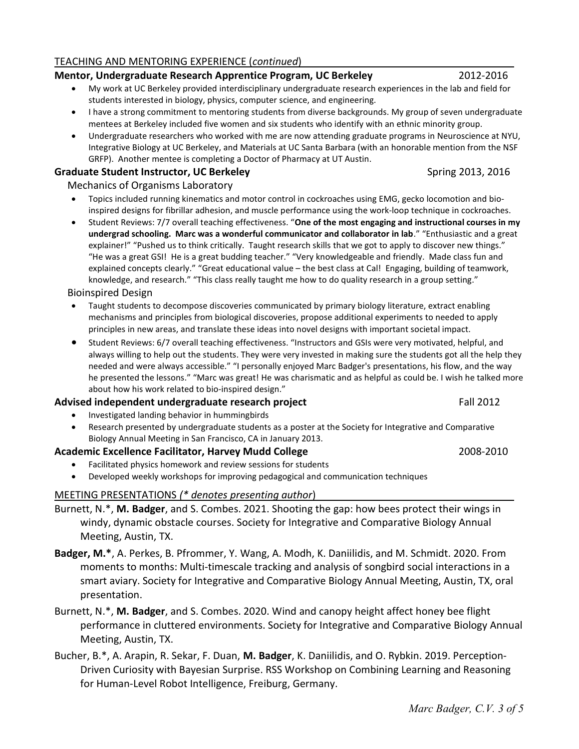## TEACHING AND MENTORING EXPERIENCE (continued)

# Mentor, Undergraduate Research Apprentice Program, UC Berkeley 2012-2016

- My work at UC Berkeley provided interdisciplinary undergraduate research experiences in the lab and field for students interested in biology, physics, computer science, and engineering.
- I have a strong commitment to mentoring students from diverse backgrounds. My group of seven undergraduate mentees at Berkeley included five women and six students who identify with an ethnic minority group.
- Undergraduate researchers who worked with me are now attending graduate programs in Neuroscience at NYU, Integrative Biology at UC Berkeley, and Materials at UC Santa Barbara (with an honorable mention from the NSF GRFP). Another mentee is completing a Doctor of Pharmacy at UT Austin.

# Graduate Student Instructor, UC Berkeley Spring 2013, 2016

# Mechanics of Organisms Laboratory

- Topics included running kinematics and motor control in cockroaches using EMG, gecko locomotion and bioinspired designs for fibrillar adhesion, and muscle performance using the work-loop technique in cockroaches.
- Student Reviews: 7/7 overall teaching effectiveness. "One of the most engaging and instructional courses in my undergrad schooling. Marc was a wonderful communicator and collaborator in lab." "Enthusiastic and a great explainer!" "Pushed us to think critically. Taught research skills that we got to apply to discover new things." "He was a great GSI! He is a great budding teacher." "Very knowledgeable and friendly. Made class fun and explained concepts clearly." "Great educational value – the best class at Cal! Engaging, building of teamwork, knowledge, and research." "This class really taught me how to do quality research in a group setting."

Bioinspired Design

- Taught students to decompose discoveries communicated by primary biology literature, extract enabling mechanisms and principles from biological discoveries, propose additional experiments to needed to apply principles in new areas, and translate these ideas into novel designs with important societal impact.
- Student Reviews: 6/7 overall teaching effectiveness. "Instructors and GSIs were very motivated, helpful, and always willing to help out the students. They were very invested in making sure the students got all the help they needed and were always accessible." "I personally enjoyed Marc Badger's presentations, his flow, and the way he presented the lessons." "Marc was great! He was charismatic and as helpful as could be. I wish he talked more about how his work related to bio-inspired design."

# Advised independent undergraduate research project **Fall 2012** Fall 2012

- Investigated landing behavior in hummingbirds
- Research presented by undergraduate students as a poster at the Society for Integrative and Comparative Biology Annual Meeting in San Francisco, CA in January 2013.

# Academic Excellence Facilitator, Harvey Mudd College 2008-2010 2008-2010

- Facilitated physics homework and review sessions for students
- Developed weekly workshops for improving pedagogical and communication techniques

# MEETING PRESENTATIONS (\* denotes presenting author)

- Burnett, N.\*, M. Badger, and S. Combes. 2021. Shooting the gap: how bees protect their wings in windy, dynamic obstacle courses. Society for Integrative and Comparative Biology Annual Meeting, Austin, TX.
- Badger, M.\*, A. Perkes, B. Pfrommer, Y. Wang, A. Modh, K. Daniilidis, and M. Schmidt. 2020. From moments to months: Multi-timescale tracking and analysis of songbird social interactions in a smart aviary. Society for Integrative and Comparative Biology Annual Meeting, Austin, TX, oral presentation.
- Burnett, N.\*, M. Badger, and S. Combes. 2020. Wind and canopy height affect honey bee flight performance in cluttered environments. Society for Integrative and Comparative Biology Annual Meeting, Austin, TX.
- Bucher, B.\*, A. Arapin, R. Sekar, F. Duan, M. Badger, K. Daniilidis, and O. Rybkin. 2019. Perception-Driven Curiosity with Bayesian Surprise. RSS Workshop on Combining Learning and Reasoning for Human-Level Robot Intelligence, Freiburg, Germany.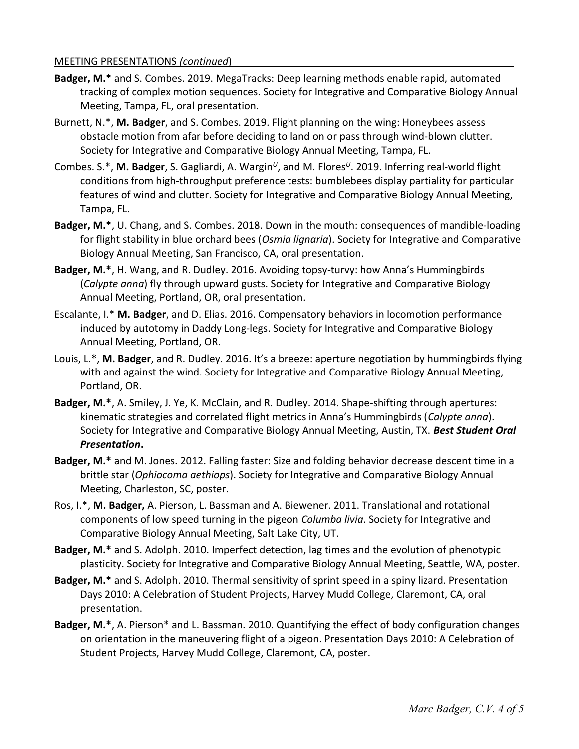#### MEETING PRESENTATIONS (continued)

- Badger, M.\* and S. Combes. 2019. MegaTracks: Deep learning methods enable rapid, automated tracking of complex motion sequences. Society for Integrative and Comparative Biology Annual Meeting, Tampa, FL, oral presentation.
- Burnett, N.\*, M. Badger, and S. Combes. 2019. Flight planning on the wing: Honeybees assess obstacle motion from afar before deciding to land on or pass through wind-blown clutter. Society for Integrative and Comparative Biology Annual Meeting, Tampa, FL.
- Combes. S.\*, M. Badger, S. Gagliardi, A. Wargin<sup>U</sup>, and M. Flores<sup>U</sup>. 2019. Inferring real-world flight conditions from high-throughput preference tests: bumblebees display partiality for particular features of wind and clutter. Society for Integrative and Comparative Biology Annual Meeting, Tampa, FL.
- Badger, M.\*, U. Chang, and S. Combes. 2018. Down in the mouth: consequences of mandible-loading for flight stability in blue orchard bees (Osmia lignaria). Society for Integrative and Comparative Biology Annual Meeting, San Francisco, CA, oral presentation.
- Badger, M.\*, H. Wang, and R. Dudley. 2016. Avoiding topsy-turvy: how Anna's Hummingbirds (Calypte anna) fly through upward gusts. Society for Integrative and Comparative Biology Annual Meeting, Portland, OR, oral presentation.
- Escalante, I.\* M. Badger, and D. Elias. 2016. Compensatory behaviors in locomotion performance induced by autotomy in Daddy Long-legs. Society for Integrative and Comparative Biology Annual Meeting, Portland, OR.
- Louis, L.\*, M. Badger, and R. Dudley. 2016. It's a breeze: aperture negotiation by hummingbirds flying with and against the wind. Society for Integrative and Comparative Biology Annual Meeting, Portland, OR.
- Badger, M.\*, A. Smiley, J. Ye, K. McClain, and R. Dudley. 2014. Shape-shifting through apertures: kinematic strategies and correlated flight metrics in Anna's Hummingbirds (Calypte anna). Society for Integrative and Comparative Biology Annual Meeting, Austin, TX. Best Student Oral Presentation.
- Badger, M.\* and M. Jones. 2012. Falling faster: Size and folding behavior decrease descent time in a brittle star (Ophiocoma aethiops). Society for Integrative and Comparative Biology Annual Meeting, Charleston, SC, poster.
- Ros, I.\*, M. Badger, A. Pierson, L. Bassman and A. Biewener. 2011. Translational and rotational components of low speed turning in the pigeon *Columba livia*. Society for Integrative and Comparative Biology Annual Meeting, Salt Lake City, UT.
- Badger, M.\* and S. Adolph. 2010. Imperfect detection, lag times and the evolution of phenotypic plasticity. Society for Integrative and Comparative Biology Annual Meeting, Seattle, WA, poster.
- Badger, M.\* and S. Adolph. 2010. Thermal sensitivity of sprint speed in a spiny lizard. Presentation Days 2010: A Celebration of Student Projects, Harvey Mudd College, Claremont, CA, oral presentation.
- Badger, M.\*, A. Pierson\* and L. Bassman. 2010. Quantifying the effect of body configuration changes on orientation in the maneuvering flight of a pigeon. Presentation Days 2010: A Celebration of Student Projects, Harvey Mudd College, Claremont, CA, poster.